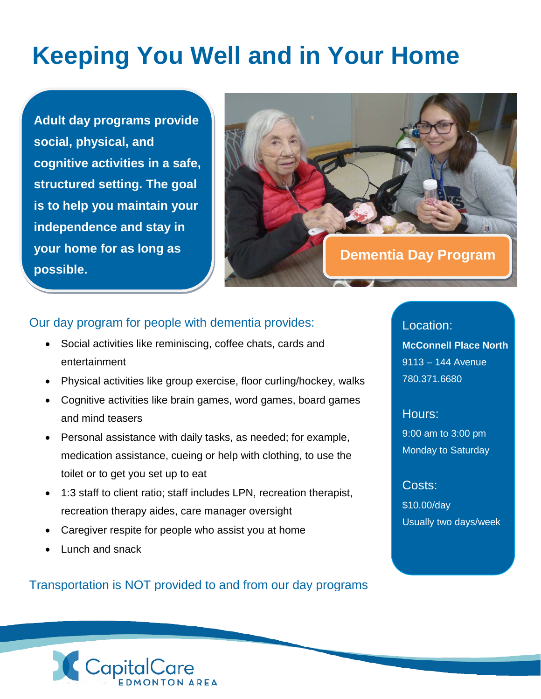## **Keeping You Well and in Your Home**

**Adult day programs provide social, physical, and cognitive activities in a safe, structured setting. The goal is to help you maintain your independence and stay in your home for as long as possible.** 



## Our day program for people with dementia provides:

- Social activities like reminiscing, coffee chats, cards and entertainment
- Physical activities like group exercise, floor curling/hockey, walks
- Cognitive activities like brain games, word games, board games and mind teasers
- Personal assistance with daily tasks, as needed; for example, medication assistance, cueing or help with clothing, to use the toilet or to get you set up to eat
- 1:3 staff to client ratio; staff includes LPN, recreation therapist, recreation therapy aides, care manager oversight
- Caregiver respite for people who assist you at home
- Lunch and snack

Transportation is NOT provided to and from our day programs

Location: **McConnell Place North** 9113 – 144 Avenue 780.371.6680

Hours: 9:00 am to 3:00 pm Monday to Saturday

Costs: \$10.00/day Usually two days/week